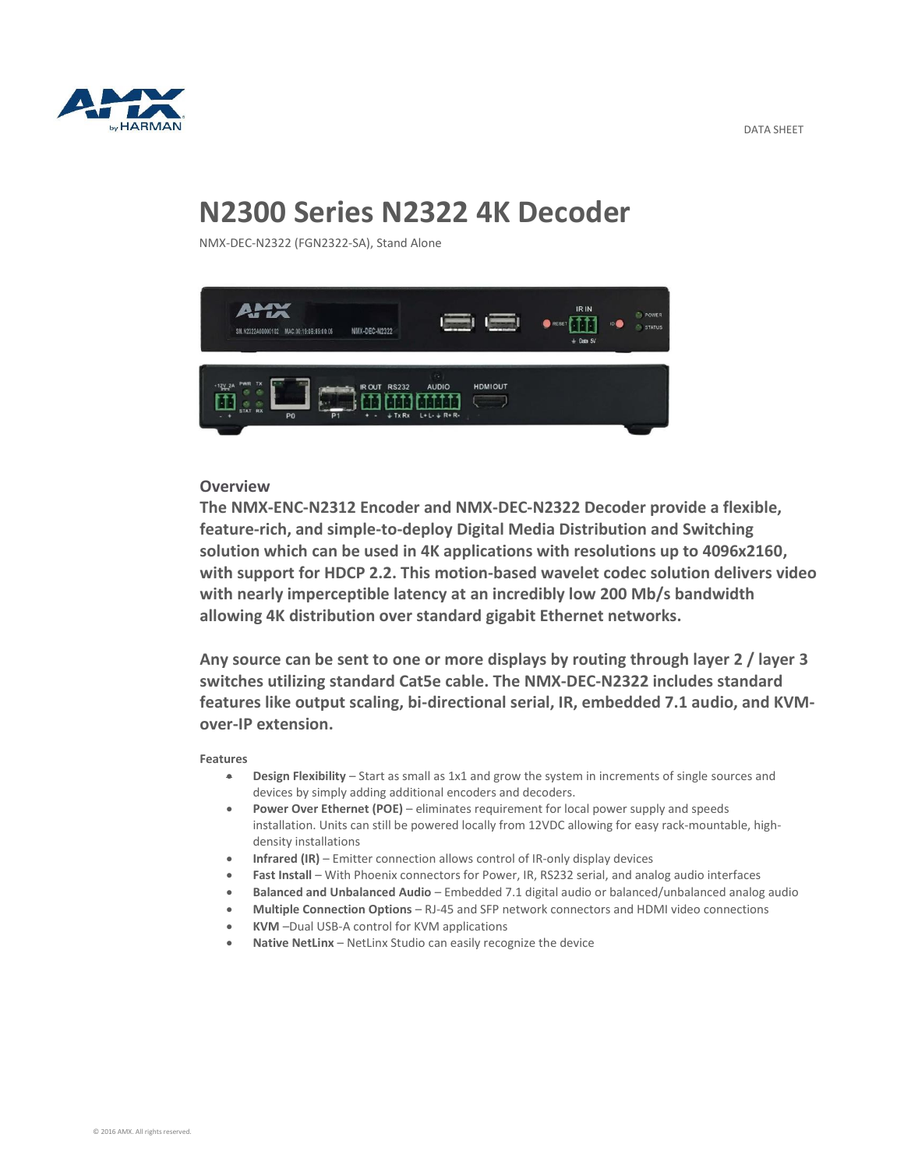



## **N2300 Series N2322 4K Decoder**

NMX-DEC-N2322 (FGN2322-SA), Stand Alone



## **Overview**

**The NMX-ENC-N2312 Encoder and NMX-DEC-N2322 Decoder provide a flexible, feature-rich, and simple-to-deploy Digital Media Distribution and Switching solution which can be used in 4K applications with resolutions up to 4096x2160, with support for HDCP 2.2. This motion-based wavelet codec solution delivers video with nearly imperceptible latency at an incredibly low 200 Mb/s bandwidth allowing 4K distribution over standard gigabit Ethernet networks.**

**Any source can be sent to one or more displays by routing through layer 2 / layer 3 switches utilizing standard Cat5e cable. The NMX-DEC-N2322 includes standard features like output scaling, bi-directional serial, IR, embedded 7.1 audio, and KVMover-IP extension.**

## **Features**

- **Design Flexibility** Start as small as 1x1 and grow the system in increments of single sources and devices by simply adding additional encoders and decoders.
- **Power Over Ethernet (POE)** eliminates requirement for local power supply and speeds installation. Units can still be powered locally from 12VDC allowing for easy rack-mountable, highdensity installations
- **Infrared (IR)** Emitter connection allows control of IR-only display devices
- **Fast Install** With Phoenix connectors for Power, IR, RS232 serial, and analog audio interfaces
- **Balanced and Unbalanced Audio** Embedded 7.1 digital audio or balanced/unbalanced analog audio
- **Multiple Connection Options** RJ-45 and SFP network connectors and HDMI video connections
- **KVM** –Dual USB-A control for KVM applications
- **Native NetLinx**  NetLinx Studio can easily recognize the device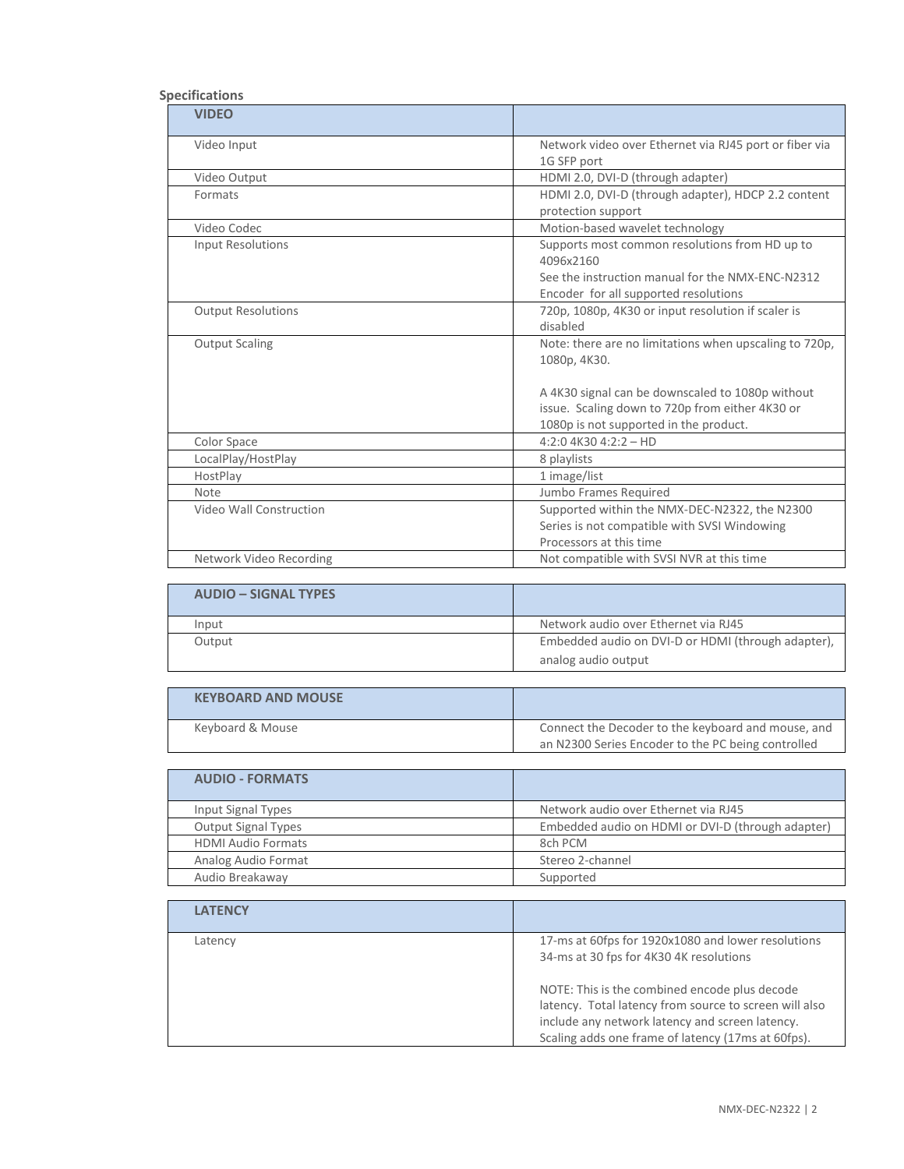## **Specifications**

| <b>VIDEO</b>              |                                                        |
|---------------------------|--------------------------------------------------------|
| Video Input               | Network video over Ethernet via RJ45 port or fiber via |
|                           | 1G SFP port                                            |
| Video Output              | HDMI 2.0, DVI-D (through adapter)                      |
| Formats                   | HDMI 2.0, DVI-D (through adapter), HDCP 2.2 content    |
|                           | protection support                                     |
| Video Codec               | Motion-based wavelet technology                        |
| <b>Input Resolutions</b>  | Supports most common resolutions from HD up to         |
|                           | 4096x2160                                              |
|                           | See the instruction manual for the NMX-ENC-N2312       |
|                           | Encoder for all supported resolutions                  |
| <b>Output Resolutions</b> | 720p, 1080p, 4K30 or input resolution if scaler is     |
|                           | disabled                                               |
| <b>Output Scaling</b>     | Note: there are no limitations when upscaling to 720p, |
|                           | 1080p, 4K30.                                           |
|                           |                                                        |
|                           | A 4K30 signal can be downscaled to 1080p without       |
|                           | issue. Scaling down to 720p from either 4K30 or        |
|                           | 1080p is not supported in the product.                 |
| Color Space               | $4:2:04K304:2:2-HD$                                    |
| LocalPlay/HostPlay        | 8 playlists                                            |
| HostPlay                  | 1 image/list                                           |
| <b>Note</b>               | Jumbo Frames Required                                  |
| Video Wall Construction   | Supported within the NMX-DEC-N2322, the N2300          |
|                           | Series is not compatible with SVSI Windowing           |
|                           | Processors at this time                                |
| Network Video Recording   | Not compatible with SVSI NVR at this time              |

| <b>AUDIO – SIGNAL TYPES</b> |                                                    |
|-----------------------------|----------------------------------------------------|
| Input                       | Network audio over Ethernet via RJ45               |
| Output                      | Embedded audio on DVI-D or HDMI (through adapter), |
|                             | analog audio output                                |

| <b>KEYBOARD AND MOUSE</b> |                                                    |
|---------------------------|----------------------------------------------------|
| Keyboard & Mouse          | Connect the Decoder to the keyboard and mouse, and |
|                           | an N2300 Series Encoder to the PC being controlled |

| <b>AUDIO - FORMATS</b>     |                                                   |
|----------------------------|---------------------------------------------------|
| Input Signal Types         | Network audio over Ethernet via RJ45              |
| <b>Output Signal Types</b> | Embedded audio on HDMI or DVI-D (through adapter) |
| <b>HDMI Audio Formats</b>  | 8ch PCM                                           |
| Analog Audio Format        | Stereo 2-channel                                  |
| Audio Breakaway            | Supported                                         |

| <b>LATENCY</b> |                                                                                                                                                                                                                  |
|----------------|------------------------------------------------------------------------------------------------------------------------------------------------------------------------------------------------------------------|
| Latency        | 17-ms at 60fps for 1920x1080 and lower resolutions<br>34-ms at 30 fps for 4K30 4K resolutions                                                                                                                    |
|                | NOTE: This is the combined encode plus decode<br>latency. Total latency from source to screen will also<br>include any network latency and screen latency.<br>Scaling adds one frame of latency (17ms at 60fps). |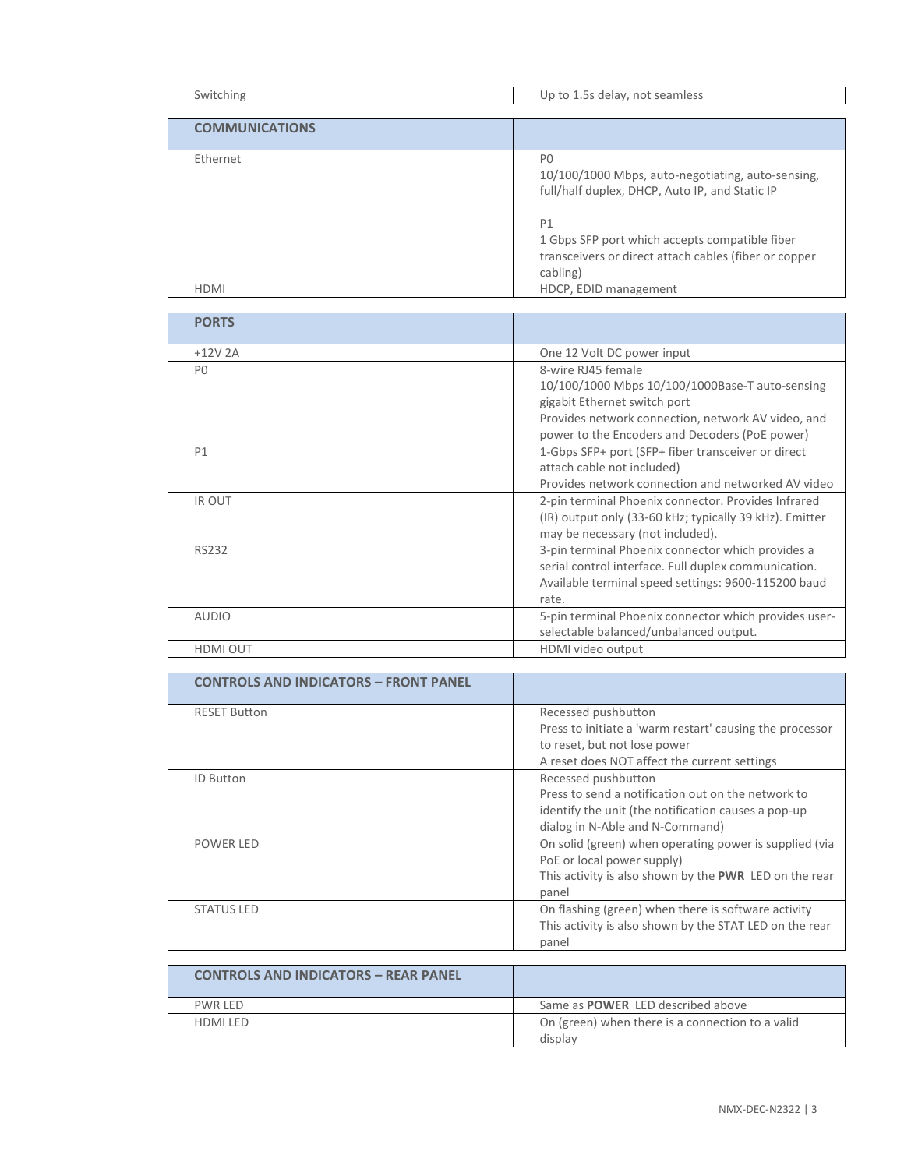| Switching             | Up to 1.5s delay, not seamless                                                                                            |
|-----------------------|---------------------------------------------------------------------------------------------------------------------------|
|                       |                                                                                                                           |
| <b>COMMUNICATIONS</b> |                                                                                                                           |
|                       |                                                                                                                           |
| Ethernet              | P <sub>0</sub><br>10/100/1000 Mbps, auto-negotiating, auto-sensing,<br>full/half duplex, DHCP, Auto IP, and Static IP     |
|                       | P1<br>1 Gbps SFP port which accepts compatible fiber<br>transceivers or direct attach cables (fiber or copper<br>cabling) |
| <b>HDMI</b>           | HDCP, EDID management                                                                                                     |

| <b>PORTS</b>    |                                                         |
|-----------------|---------------------------------------------------------|
| $+12V$ 2A       | One 12 Volt DC power input                              |
| P <sub>0</sub>  | 8-wire RJ45 female                                      |
|                 | 10/100/1000 Mbps 10/100/1000Base-T auto-sensing         |
|                 | gigabit Ethernet switch port                            |
|                 | Provides network connection, network AV video, and      |
|                 | power to the Encoders and Decoders (PoE power)          |
| P1              | 1-Gbps SFP+ port (SFP+ fiber transceiver or direct      |
|                 | attach cable not included)                              |
|                 | Provides network connection and networked AV video      |
| <b>IR OUT</b>   | 2-pin terminal Phoenix connector. Provides Infrared     |
|                 | (IR) output only (33-60 kHz; typically 39 kHz). Emitter |
|                 | may be necessary (not included).                        |
| <b>RS232</b>    | 3-pin terminal Phoenix connector which provides a       |
|                 | serial control interface. Full duplex communication.    |
|                 | Available terminal speed settings: 9600-115200 baud     |
|                 | rate.                                                   |
| <b>AUDIO</b>    | 5-pin terminal Phoenix connector which provides user-   |
|                 | selectable balanced/unbalanced output.                  |
| <b>HDMI OUT</b> | HDMI video output                                       |

| <b>CONTROLS AND INDICATORS - FRONT PANEL</b> |                                                          |
|----------------------------------------------|----------------------------------------------------------|
| <b>RESET Button</b>                          | Recessed pushbutton                                      |
|                                              | Press to initiate a 'warm restart' causing the processor |
|                                              | to reset, but not lose power                             |
|                                              | A reset does NOT affect the current settings             |
| <b>ID Button</b>                             | Recessed pushbutton                                      |
|                                              | Press to send a notification out on the network to       |
|                                              | identify the unit (the notification causes a pop-up      |
|                                              | dialog in N-Able and N-Command)                          |
| POWER LED                                    | On solid (green) when operating power is supplied (via   |
|                                              | PoE or local power supply)                               |
|                                              | This activity is also shown by the PWR LED on the rear   |
|                                              | panel                                                    |
| <b>STATUS LED</b>                            | On flashing (green) when there is software activity      |
|                                              | This activity is also shown by the STAT LED on the rear  |
|                                              | panel                                                    |

| <b>CONTROLS AND INDICATORS - REAR PANEL</b> |                                                             |
|---------------------------------------------|-------------------------------------------------------------|
| PWR IFD                                     | Same as <b>POWER</b> LED described above                    |
| HDMI I FD                                   | On (green) when there is a connection to a valid<br>display |